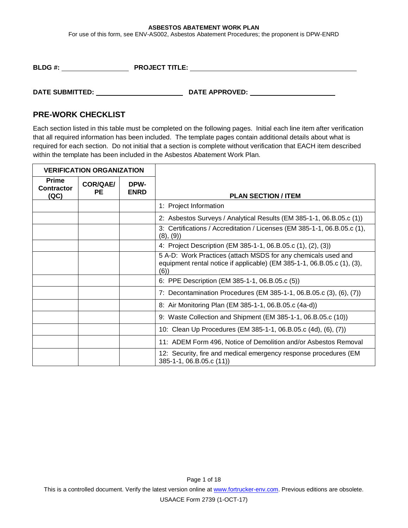For use of this form, see ENV-AS002, Asbestos Abatement Procedures; the proponent is DPW-ENRD

| <b>BLDG#:</b> | <b>PROJECT TITLE:</b> |
|---------------|-----------------------|
|---------------|-----------------------|

**DATE SUBMITTED: DATE APPROVED:** 

### **PRE-WORK CHECKLIST**

Each section listed in this table must be completed on the following pages. Initial each line item after verification that all required information has been included. The template pages contain additional details about what is required for each section. Do not initial that a section is complete without verification that EACH item described within the template has been included in the Asbestos Abatement Work Plan.

| <b>VERIFICATION ORGANIZATION</b>          |                              |                     |                                                                                                                                                 |  |
|-------------------------------------------|------------------------------|---------------------|-------------------------------------------------------------------------------------------------------------------------------------------------|--|
| <b>Prime</b><br><b>Contractor</b><br>(QC) | <b>COR/QAE/</b><br><b>PE</b> | DPW-<br><b>ENRD</b> | <b>PLAN SECTION / ITEM</b>                                                                                                                      |  |
|                                           |                              |                     | 1: Project Information                                                                                                                          |  |
|                                           |                              |                     | 2: Asbestos Surveys / Analytical Results (EM 385-1-1, 06.B.05.c (1))                                                                            |  |
|                                           |                              |                     | 3: Certifications / Accreditation / Licenses (EM 385-1-1, 06.B.05.c (1),<br>(8), (9)                                                            |  |
|                                           |                              |                     | 4: Project Description (EM 385-1-1, 06.B.05.c (1), (2), (3))                                                                                    |  |
|                                           |                              |                     | 5 A-D: Work Practices (attach MSDS for any chemicals used and<br>equipment rental notice if applicable) (EM 385-1-1, 06.B.05.c (1), (3),<br>(6) |  |
|                                           |                              |                     | 6: PPE Description (EM 385-1-1, 06.B.05.c (5))                                                                                                  |  |
|                                           |                              |                     | 7: Decontamination Procedures (EM 385-1-1, 06.B.05.c (3), (6), (7))                                                                             |  |
|                                           |                              |                     | 8: Air Monitoring Plan (EM 385-1-1, 06.B.05.c (4a-d))                                                                                           |  |
|                                           |                              |                     | 9: Waste Collection and Shipment (EM 385-1-1, 06.B.05.c (10))                                                                                   |  |
|                                           |                              |                     | 10: Clean Up Procedures (EM 385-1-1, 06.B.05.c (4d), (6), (7))                                                                                  |  |
|                                           |                              |                     | 11: ADEM Form 496, Notice of Demolition and/or Asbestos Removal                                                                                 |  |
|                                           |                              |                     | 12: Security, fire and medical emergency response procedures (EM<br>385-1-1, 06.B.05.c (11))                                                    |  |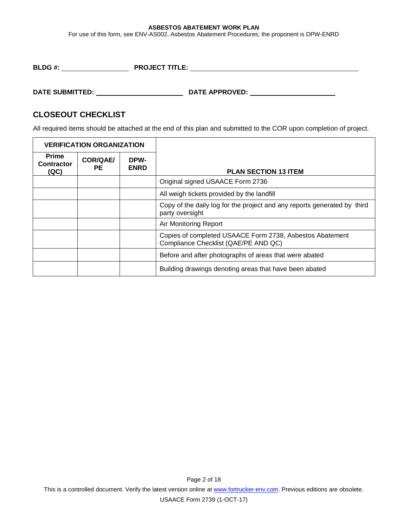For use of this form, see ENV-AS002, Asbestos Abatement Procedures; the proponent is DPW-ENRD

**BLDG #: PROJECT TITLE:** 

# **DATE SUBMITTED: DATE APPROVED:**

### **CLOSEOUT CHECKLIST**

All required items should be attached at the end of this plan and submitted to the COR upon completion of project.

| <b>VERIFICATION ORGANIZATION</b>          |                |                     |                                                                                                  |  |
|-------------------------------------------|----------------|---------------------|--------------------------------------------------------------------------------------------------|--|
| <b>Prime</b><br><b>Contractor</b><br>(QC) | COR/QAE/<br>PЕ | DPW-<br><b>ENRD</b> | <b>PLAN SECTION 13 ITEM</b>                                                                      |  |
|                                           |                |                     | Original signed USAACE Form 2736                                                                 |  |
|                                           |                |                     | All weigh tickets provided by the landfill                                                       |  |
|                                           |                |                     | Copy of the daily log for the project and any reports generated by third<br>party oversight      |  |
|                                           |                |                     | Air Monitoring Report                                                                            |  |
|                                           |                |                     | Copies of completed USAACE Form 2738, Asbestos Abatement<br>Compliance Checklist (QAE/PE AND QC) |  |
|                                           |                |                     | Before and after photographs of areas that were abated                                           |  |
|                                           |                |                     | Building drawings denoting areas that have been abated                                           |  |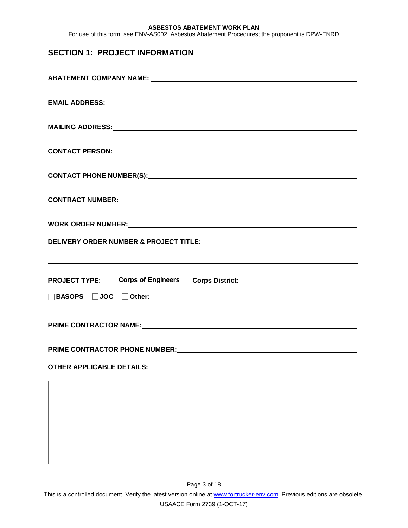For use of this form, see ENV-AS002, Asbestos Abatement Procedures; the proponent is DPW-ENRD

# **SECTION 1: PROJECT INFORMATION**

| WORK ORDER NUMBER: VALUE AND A CONTROL OF A CONTROL OF A CONTROL OF A CONTROL OF A CONTROL OF A CONTROL OF A CONTROL OF A CONTROL OF A CONTROL OF A CONTROL OF A CONTROL OF A CONTROL OF A CONTROL OF A CONTROL OF A CONTROL O                                                 |
|--------------------------------------------------------------------------------------------------------------------------------------------------------------------------------------------------------------------------------------------------------------------------------|
| <b>DELIVERY ORDER NUMBER &amp; PROJECT TITLE:</b>                                                                                                                                                                                                                              |
| ,我们也不会有什么。""我们的人,我们也不会有什么?""我们的人,我们也不会有什么?""我们的人,我们也不会有什么?""我们的人,我们也不会有什么?""我们的人                                                                                                                                                                                               |
|                                                                                                                                                                                                                                                                                |
| $\Box$ BASOPS $\Box$ JOC $\Box$ Other:<br><u>state and the state of the state of the state of the state of the state of the state of the state of the state of the state of the state of the state of the state of the state of the state of the state of the state of the</u> |
| PRIME CONTRACTOR NAME: Manual Contract of Name: Manual Contractor Name: Manual Contractor Name: Manual Contractor Name: Manual Contractor Name: Manual Contractor Name: Manual Contractor Name: Manual Contractor Name: Manual                                                 |
| PRIME CONTRACTOR PHONE NUMBER: CONTRACTOR PHONE NUMBER:                                                                                                                                                                                                                        |
| <b>OTHER APPLICABLE DETAILS:</b>                                                                                                                                                                                                                                               |
| ,我们也不会有什么。""我们的人,我们也不会有什么?""我们的人,我们也不会有什么?""我们的人,我们也不会有什么?""我们的人,我们也不会有什么?""我们的人                                                                                                                                                                                               |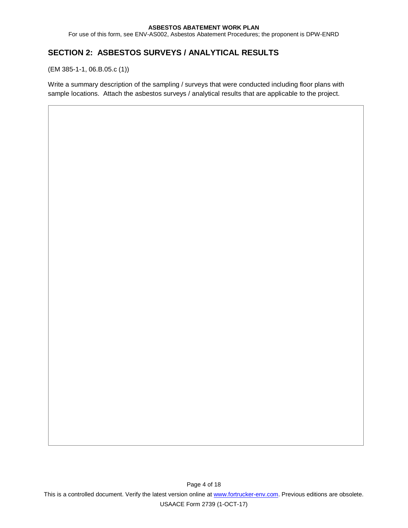For use of this form, see ENV-AS002, Asbestos Abatement Procedures; the proponent is DPW-ENRD

# **SECTION 2: ASBESTOS SURVEYS / ANALYTICAL RESULTS**

(EM 385-1-1, 06.B.05.c (1))

Write a summary description of the sampling / surveys that were conducted including floor plans with sample locations. Attach the asbestos surveys / analytical results that are applicable to the project.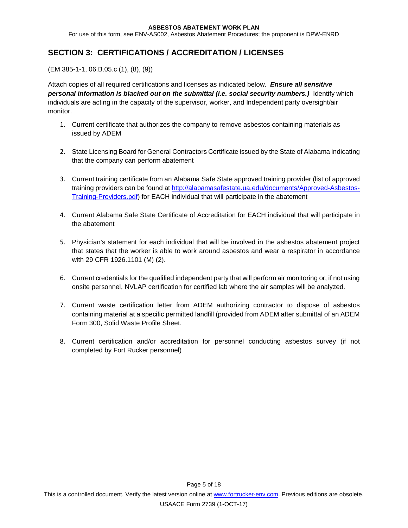For use of this form, see ENV-AS002, Asbestos Abatement Procedures; the proponent is DPW-ENRD

### **SECTION 3: CERTIFICATIONS / ACCREDITATION / LICENSES**

(EM 385-1-1, 06.B.05.c (1), (8), (9))

Attach copies of all required certifications and licenses as indicated below. *Ensure all sensitive personal information is blacked out on the submittal (i.e. social security numbers.)* Identify which individuals are acting in the capacity of the supervisor, worker, and Independent party oversight/air monitor.

- 1. Current certificate that authorizes the company to remove asbestos containing materials as issued by ADEM
- 2. State Licensing Board for General Contractors Certificate issued by the State of Alabama indicating that the company can perform abatement
- 3. Current training certificate from an Alabama Safe State approved training provider (list of approved training providers can be found a[t http://alabamasafestate.ua.edu/documents/Approved-Asbestos-](http://alabamasafestate.ua.edu/documents/Approved-Asbestos-Training-Providers.pdf)[Training-Providers.pdf\)](http://alabamasafestate.ua.edu/documents/Approved-Asbestos-Training-Providers.pdf) for EACH individual that will participate in the abatement
- 4. Current Alabama Safe State Certificate of Accreditation for EACH individual that will participate in the abatement
- 5. Physician's statement for each individual that will be involved in the asbestos abatement project that states that the worker is able to work around asbestos and wear a respirator in accordance with 29 CFR 1926.1101 (M) (2).
- 6. Current credentials for the qualified independent party that will perform air monitoring or, if not using onsite personnel, NVLAP certification for certified lab where the air samples will be analyzed.
- 7. Current waste certification letter from ADEM authorizing contractor to dispose of asbestos containing material at a specific permitted landfill (provided from ADEM after submittal of an ADEM Form 300, Solid Waste Profile Sheet.
- 8. Current certification and/or accreditation for personnel conducting asbestos survey (if not completed by Fort Rucker personnel)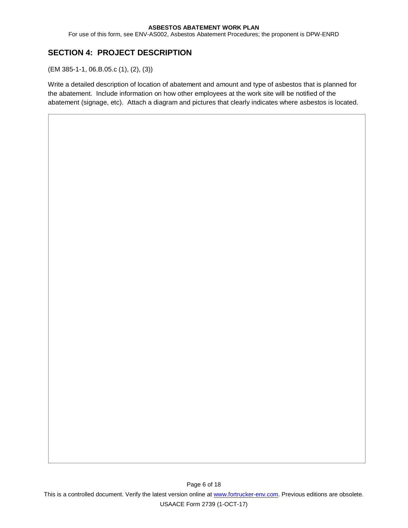For use of this form, see ENV-AS002, Asbestos Abatement Procedures; the proponent is DPW-ENRD

# **SECTION 4: PROJECT DESCRIPTION**

(EM 385-1-1, 06.B.05.c (1), (2), (3))

Write a detailed description of location of abatement and amount and type of asbestos that is planned for the abatement. Include information on how other employees at the work site will be notified of the abatement (signage, etc). Attach a diagram and pictures that clearly indicates where asbestos is located.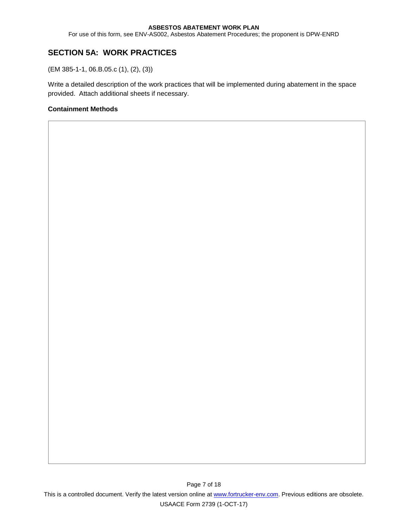For use of this form, see ENV-AS002, Asbestos Abatement Procedures; the proponent is DPW-ENRD

# **SECTION 5A: WORK PRACTICES**

(EM 385-1-1, 06.B.05.c (1), (2), (3))

Write a detailed description of the work practices that will be implemented during abatement in the space provided. Attach additional sheets if necessary.

### **Containment Methods**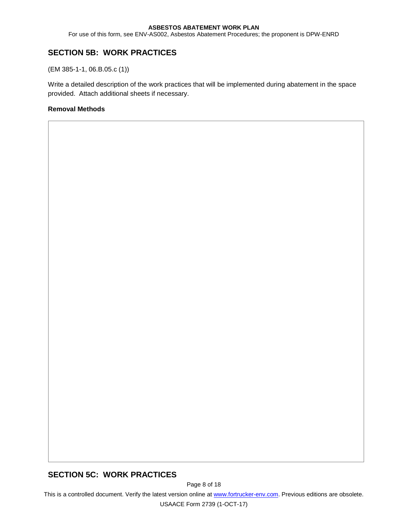For use of this form, see ENV-AS002, Asbestos Abatement Procedures; the proponent is DPW-ENRD

### **SECTION 5B: WORK PRACTICES**

(EM 385-1-1, 06.B.05.c (1))

Write a detailed description of the work practices that will be implemented during abatement in the space provided. Attach additional sheets if necessary.

### **Removal Methods**

### **SECTION 5C: WORK PRACTICES**

Page 8 of 18

This is a controlled document. Verify the latest version online at [www.fortrucker-env.com.](http://www.fortrucker-env.com/) Previous editions are obsolete.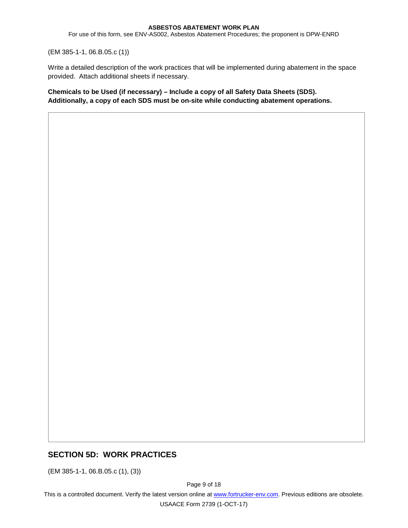For use of this form, see ENV-AS002, Asbestos Abatement Procedures; the proponent is DPW-ENRD

(EM 385-1-1, 06.B.05.c (1))

Write a detailed description of the work practices that will be implemented during abatement in the space provided. Attach additional sheets if necessary.

**Chemicals to be Used (if necessary) – Include a copy of all Safety Data Sheets (SDS). Additionally, a copy of each SDS must be on-site while conducting abatement operations.**

### **SECTION 5D: WORK PRACTICES**

(EM 385-1-1, 06.B.05.c (1), (3))

Page 9 of 18

This is a controlled document. Verify the latest version online at [www.fortrucker-env.com.](http://www.fortrucker-env.com/) Previous editions are obsolete.

USAACE Form 2739 (1-OCT-17)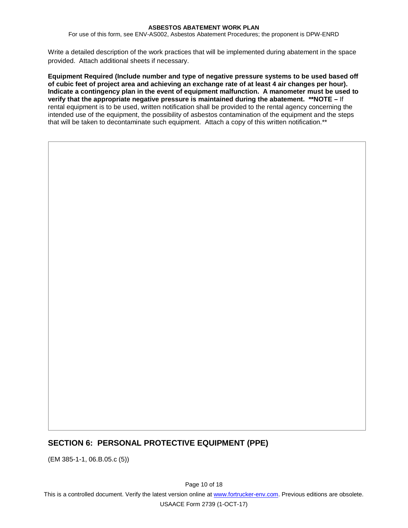For use of this form, see ENV-AS002, Asbestos Abatement Procedures; the proponent is DPW-ENRD

Write a detailed description of the work practices that will be implemented during abatement in the space provided. Attach additional sheets if necessary.

**Equipment Required (Include number and type of negative pressure systems to be used based off of cubic feet of project area and achieving an exchange rate of at least 4 air changes per hour). Indicate a contingency plan in the event of equipment malfunction. A manometer must be used to verify that the appropriate negative pressure is maintained during the abatement. \*\*NOTE –** If rental equipment is to be used, written notification shall be provided to the rental agency concerning the intended use of the equipment, the possibility of asbestos contamination of the equipment and the steps that will be taken to decontaminate such equipment. Attach a copy of this written notification.\*\*

# **SECTION 6: PERSONAL PROTECTIVE EQUIPMENT (PPE)**

(EM 385-1-1, 06.B.05.c (5))

Page 10 of 18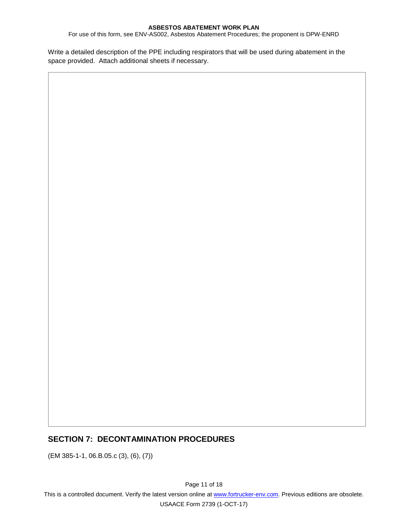For use of this form, see ENV-AS002, Asbestos Abatement Procedures; the proponent is DPW-ENRD

Write a detailed description of the PPE including respirators that will be used during abatement in the space provided. Attach additional sheets if necessary.

### **SECTION 7: DECONTAMINATION PROCEDURES**

(EM 385-1-1, 06.B.05.c (3), (6), (7))

Page 11 of 18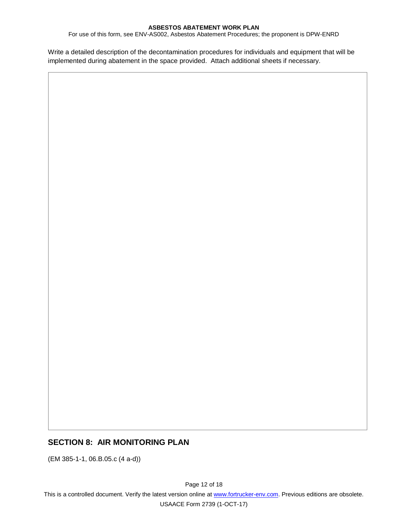For use of this form, see ENV-AS002, Asbestos Abatement Procedures; the proponent is DPW-ENRD

Write a detailed description of the decontamination procedures for individuals and equipment that will be implemented during abatement in the space provided. Attach additional sheets if necessary.

### **SECTION 8: AIR MONITORING PLAN**

(EM 385-1-1, 06.B.05.c (4 a-d))

Page 12 of 18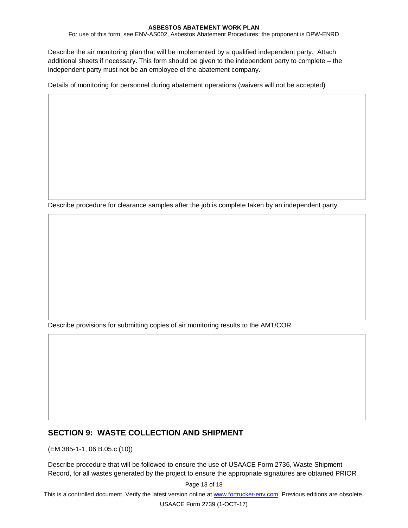For use of this form, see ENV-AS002, Asbestos Abatement Procedures; the proponent is DPW-ENRD

Describe the air monitoring plan that will be implemented by a qualified independent party. Attach additional sheets if necessary. This form should be given to the independent party to complete – the independent party must not be an employee of the abatement company.

Details of monitoring for personnel during abatement operations (waivers will not be accepted)

Describe procedure for clearance samples after the job is complete taken by an independent party

Describe provisions for submitting copies of air monitoring results to the AMT/COR

### **SECTION 9: WASTE COLLECTION AND SHIPMENT**

(EM 385-1-1, 06.B.05.c (10))

Describe procedure that will be followed to ensure the use of USAACE Form 2736, Waste Shipment Record, for all wastes generated by the project to ensure the appropriate signatures are obtained PRIOR

Page 13 of 18

This is a controlled document. Verify the latest version online at [www.fortrucker-env.com.](http://www.fortrucker-env.com/) Previous editions are obsolete.

USAACE Form 2739 (1-OCT-17)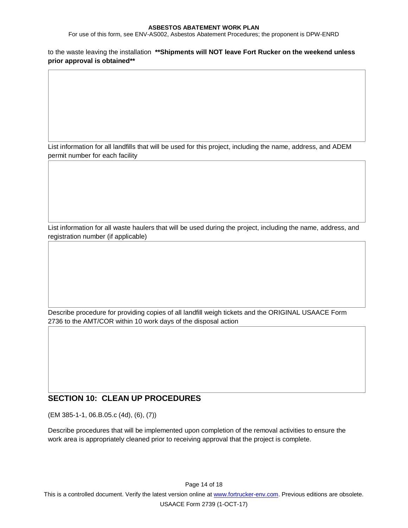For use of this form, see ENV-AS002, Asbestos Abatement Procedures; the proponent is DPW-ENRD

to the waste leaving the installation **\*\*Shipments will NOT leave Fort Rucker on the weekend unless prior approval is obtained\*\***

List information for all landfills that will be used for this project, including the name, address, and ADEM permit number for each facility

List information for all waste haulers that will be used during the project, including the name, address, and registration number (if applicable)

Describe procedure for providing copies of all landfill weigh tickets and the ORIGINAL USAACE Form 2736 to the AMT/COR within 10 work days of the disposal action

### **SECTION 10: CLEAN UP PROCEDURES**

(EM 385-1-1, 06.B.05.c (4d), (6), (7))

Describe procedures that will be implemented upon completion of the removal activities to ensure the work area is appropriately cleaned prior to receiving approval that the project is complete.

Page 14 of 18

This is a controlled document. Verify the latest version online at [www.fortrucker-env.com.](http://www.fortrucker-env.com/) Previous editions are obsolete.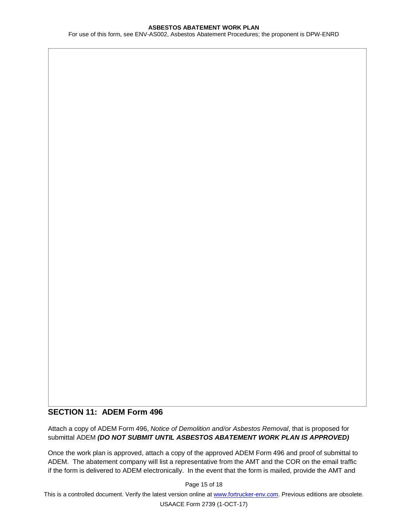For use of this form, see ENV-AS002, Asbestos Abatement Procedures; the proponent is DPW-ENRD

### **SECTION 11: ADEM Form 496**

Attach a copy of ADEM Form 496, *Notice of Demolition and/or Asbestos Removal*, that is proposed for submittal ADEM *(DO NOT SUBMIT UNTIL ASBESTOS ABATEMENT WORK PLAN IS APPROVED)*

Once the work plan is approved, attach a copy of the approved ADEM Form 496 and proof of submittal to ADEM. The abatement company will list a representative from the AMT and the COR on the email traffic if the form is delivered to ADEM electronically. In the event that the form is mailed, provide the AMT and

Page 15 of 18

This is a controlled document. Verify the latest version online at [www.fortrucker-env.com.](http://www.fortrucker-env.com/) Previous editions are obsolete.

USAACE Form 2739 (1-OCT-17)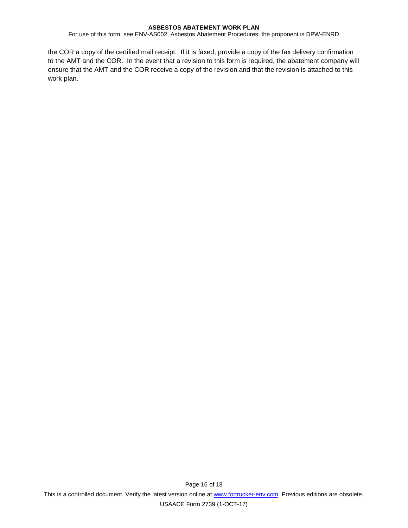For use of this form, see ENV-AS002, Asbestos Abatement Procedures; the proponent is DPW-ENRD

the COR a copy of the certified mail receipt. If it is faxed, provide a copy of the fax delivery confirmation to the AMT and the COR. In the event that a revision to this form is required, the abatement company will ensure that the AMT and the COR receive a copy of the revision and that the revision is attached to this work plan.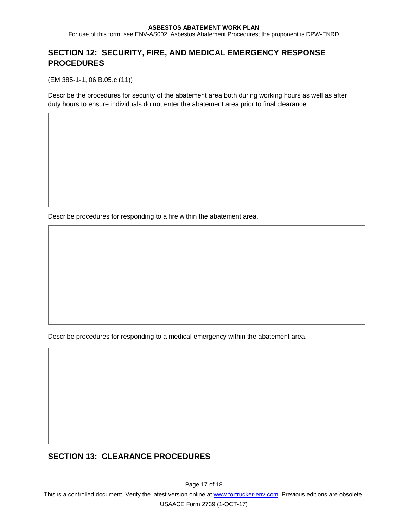For use of this form, see ENV-AS002, Asbestos Abatement Procedures; the proponent is DPW-ENRD

# **SECTION 12: SECURITY, FIRE, AND MEDICAL EMERGENCY RESPONSE PROCEDURES**

(EM 385-1-1, 06.B.05.c (11))

Describe the procedures for security of the abatement area both during working hours as well as after duty hours to ensure individuals do not enter the abatement area prior to final clearance.

Describe procedures for responding to a fire within the abatement area.

Describe procedures for responding to a medical emergency within the abatement area.

### **SECTION 13: CLEARANCE PROCEDURES**

Page 17 of 18

This is a controlled document. Verify the latest version online at [www.fortrucker-env.com.](http://www.fortrucker-env.com/) Previous editions are obsolete.